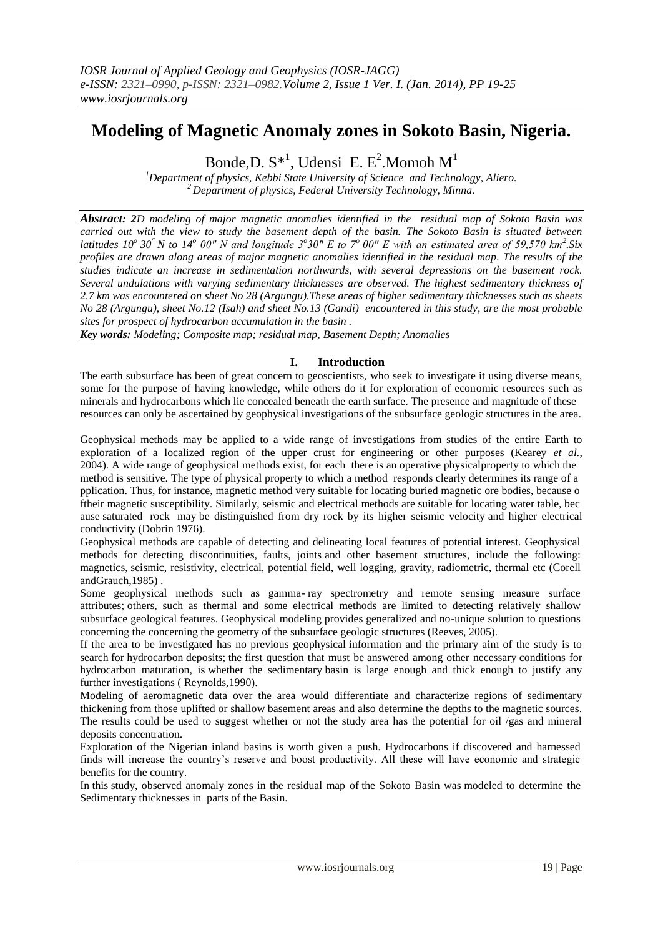# **Modeling of Magnetic Anomaly zones in Sokoto Basin, Nigeria.**

Bonde, D.  $S^*$ <sup>1</sup>, Udensi E. E<sup>2</sup>. Momoh  $M<sup>1</sup>$ 

*<sup>1</sup>Department of physics, Kebbi State University of Science and Technology, Aliero. <sup>2</sup>Department of physics, Federal University Technology, Minna.*

*Abstract: 2D modeling of major magnetic anomalies identified in the residual map of Sokoto Basin was carried out with the view to study the basement depth of the basin. The Sokoto Basin is situated between latitudes 10<sup>°</sup> 30<sup>"</sup> N to 14<sup>°</sup> 00" N and longitude 3<sup>°</sup> 30" E to 7<sup>°</sup> 00" E with an estimated area of 59,570 km<sup>2</sup>. Six profiles are drawn along areas of major magnetic anomalies identified in the residual map. The results of the studies indicate an increase in sedimentation northwards, with several depressions on the basement rock. Several undulations with varying sedimentary thicknesses are observed. The highest sedimentary thickness of 2.7 km was encountered on sheet No 28 (Argungu).These areas of higher sedimentary thicknesses such as sheets No 28 (Argungu), sheet No.12 (Isah) and sheet No.13 (Gandi) encountered in this study, are the most probable sites for prospect of hydrocarbon accumulation in the basin .*

*Key words: Modeling; Composite map; residual map, Basement Depth; Anomalies*

## **I. Introduction**

The earth subsurface has been of great concern to geoscientists, who seek to investigate it using diverse means, some for the purpose of having knowledge, while others do it for exploration of economic resources such as minerals and hydrocarbons which lie concealed beneath the earth surface. The presence and magnitude of these resources can only be ascertained by geophysical investigations of the subsurface geologic structures in the area.

Geophysical methods may be applied to a wide range of investigations from studies of the entire Earth to exploration of a localized region of the upper crust for engineering or other purposes (Kearey *et al.*, 2004). A wide range of geophysical methods exist, for each there is an operative physicalproperty to which the method is sensitive. The type of physical property to which a method responds clearly determines its range of a pplication. Thus, for instance, magnetic method very suitable for locating buried magnetic ore bodies, because o ftheir magnetic susceptibility. Similarly, seismic and electrical methods are suitable for locating water table, bec ause saturated rock may be distinguished from dry rock by its higher seismic velocity and higher electrical conductivity (Dobrin 1976).

Geophysical methods are capable of detecting and delineating local features of potential interest. Geophysical methods for detecting discontinuities, faults, joints and other basement structures, include the following: magnetics, seismic, resistivity, electrical, potential field, well logging, gravity, radiometric, thermal etc (Corell andGrauch,1985) .

Some geophysical methods such as gamma- ray spectrometry and remote sensing measure surface attributes; others, such as thermal and some electrical methods are limited to detecting relatively shallow subsurface geological features. Geophysical modeling provides generalized and no-unique solution to questions concerning the concerning the geometry of the subsurface geologic structures (Reeves, 2005).

If the area to be investigated has no previous geophysical information and the primary aim of the study is to search for hydrocarbon deposits; the first question that must be answered among other necessary conditions for hydrocarbon maturation, is whether the sedimentary basin is large enough and thick enough to justify any further investigations ( Reynolds,1990).

Modeling of aeromagnetic data over the area would differentiate and characterize regions of sedimentary thickening from those uplifted or shallow basement areas and also determine the depths to the magnetic sources. The results could be used to suggest whether or not the study area has the potential for oil /gas and mineral deposits concentration.

Exploration of the Nigerian inland basins is worth given a push. Hydrocarbons if discovered and harnessed finds will increase the country's reserve and boost productivity. All these will have economic and strategic benefits for the country.

In this study, observed anomaly zones in the residual map of the Sokoto Basin was modeled to determine the Sedimentary thicknesses in parts of the Basin.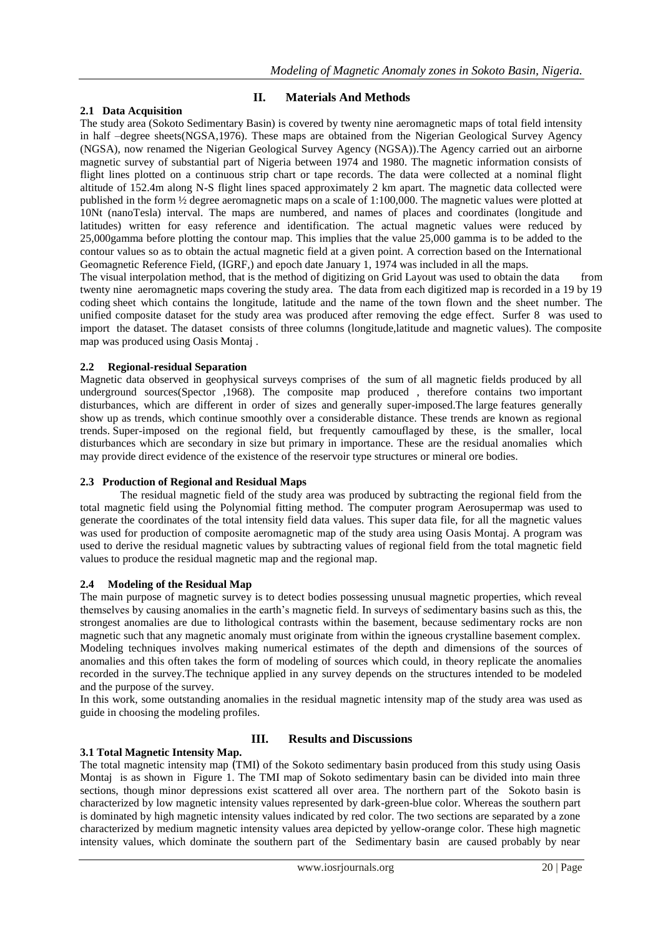## **2.1 Data Acquisition**

## **II. Materials And Methods**

The study area (Sokoto Sedimentary Basin) is covered by twenty nine aeromagnetic maps of total field intensity in half –degree sheets(NGSA,1976). These maps are obtained from the Nigerian Geological Survey Agency (NGSA), now renamed the Nigerian Geological Survey Agency (NGSA))*.*The Agency carried out an airborne magnetic survey of substantial part of Nigeria between 1974 and 1980. The magnetic information consists of flight lines plotted on a continuous strip chart or tape records. The data were collected at a nominal flight altitude of 152.4m along N-S flight lines spaced approximately 2 km apart. The magnetic data collected were published in the form ½ degree aeromagnetic maps on a scale of 1:100,000. The magnetic values were plotted at 10Nt (nanoTesla) interval. The maps are numbered, and names of places and coordinates (longitude and latitudes) written for easy reference and identification. The actual magnetic values were reduced by 25,000gamma before plotting the contour map. This implies that the value 25,000 gamma is to be added to the contour values so as to obtain the actual magnetic field at a given point. A correction based on the International Geomagnetic Reference Field, (IGRF,) and epoch date January 1, 1974 was included in all the maps.

The visual interpolation method, that is the method of digitizing on Grid Layout was used to obtain the data from twenty nine aeromagnetic maps covering the study area. The data from each digitized map is recorded in a 19 by 19 coding sheet which contains the longitude, latitude and the name of the town flown and the sheet number. The unified composite dataset for the study area was produced after removing the edge effect. Surfer 8 was used to import the dataset. The dataset consists of three columns (longitude,latitude and magnetic values). The composite map was produced using Oasis Montaj .

## **2.2 Regional-residual Separation**

Magnetic data observed in geophysical surveys comprises of the sum of all magnetic fields produced by all underground sources(Spector ,1968). The composite map produced , therefore contains two important disturbances, which are different in order of sizes and generally super-imposed.The large features generally show up as trends, which continue smoothly over a considerable distance. These trends are known as regional trends. Super-imposed on the regional field, but frequently camouflaged by these, is the smaller, local disturbances which are secondary in size but primary in importance. These are the residual anomalies which may provide direct evidence of the existence of the reservoir type structures or mineral ore bodies.

## **2.3 Production of Regional and Residual Maps**

The residual magnetic field of the study area was produced by subtracting the regional field from the total magnetic field using the Polynomial fitting method. The computer program Aerosupermap was used to generate the coordinates of the total intensity field data values. This super data file, for all the magnetic values was used for production of composite aeromagnetic map of the study area using Oasis Montaj. A program was used to derive the residual magnetic values by subtracting values of regional field from the total magnetic field values to produce the residual magnetic map and the regional map.

## **2.4 Modeling of the Residual Map**

The main purpose of magnetic survey is to detect bodies possessing unusual magnetic properties, which reveal themselves by causing anomalies in the earth's magnetic field. In surveys of sedimentary basins such as this, the strongest anomalies are due to lithological contrasts within the basement, because sedimentary rocks are non magnetic such that any magnetic anomaly must originate from within the igneous crystalline basement complex. Modeling techniques involves making numerical estimates of the depth and dimensions of the sources of anomalies and this often takes the form of modeling of sources which could, in theory replicate the anomalies recorded in the survey.The technique applied in any survey depends on the structures intended to be modeled and the purpose of the survey.

In this work, some outstanding anomalies in the residual magnetic intensity map of the study area was used as guide in choosing the modeling profiles.

# **III. Results and Discussions**

#### **3.1 Total Magnetic Intensity Map.**

The total magnetic intensity map (TMI) of the Sokoto sedimentary basin produced from this study using Oasis Montaj is as shown in Figure 1. The TMI map of Sokoto sedimentary basin can be divided into main three sections, though minor depressions exist scattered all over area. The northern part of the Sokoto basin is characterized by low magnetic intensity values represented by dark-green-blue color. Whereas the southern part is dominated by high magnetic intensity values indicated by red color. The two sections are separated by a zone characterized by medium magnetic intensity values area depicted by yellow-orange color. These high magnetic intensity values, which dominate the southern part of the Sedimentary basin are caused probably by near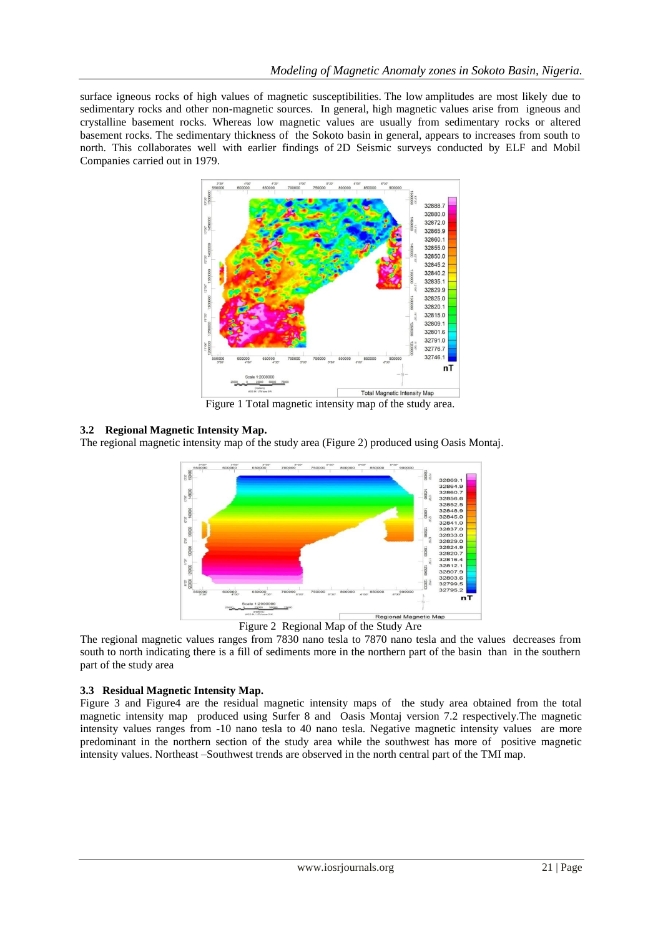surface igneous rocks of high values of magnetic susceptibilities. The low amplitudes are most likely due to sedimentary rocks and other non-magnetic sources. In general, high magnetic values arise from igneous and crystalline basement rocks. Whereas low magnetic values are usually from sedimentary rocks or altered basement rocks. The sedimentary thickness of the Sokoto basin in general, appears to increases from south to north. This collaborates well with earlier findings of 2D Seismic surveys conducted by ELF and Mobil Companies carried out in 1979.



Figure 1 Total magnetic intensity map of the study area.

## **3.2 Regional Magnetic Intensity Map.**

The regional magnetic intensity map of the study area (Figure 2) produced using Oasis Montaj.



Figure 2 Regional Map of the Study Are

The regional magnetic values ranges from 7830 nano tesla to 7870 nano tesla and the values decreases from south to north indicating there is a fill of sediments more in the northern part of the basin than in the southern part of the study area

## **3.3 Residual Magnetic Intensity Map.**

Figure 3 and Figure4 are the residual magnetic intensity maps of the study area obtained from the total magnetic intensity map produced using Surfer 8 and Oasis Montaj version 7.2 respectively.The magnetic intensity values ranges from **-**10 nano tesla to 40 nano tesla. Negative magnetic intensity values are more predominant in the northern section of the study area while the southwest has more of positive magnetic intensity values. Northeast –Southwest trends are observed in the north central part of the TMI map.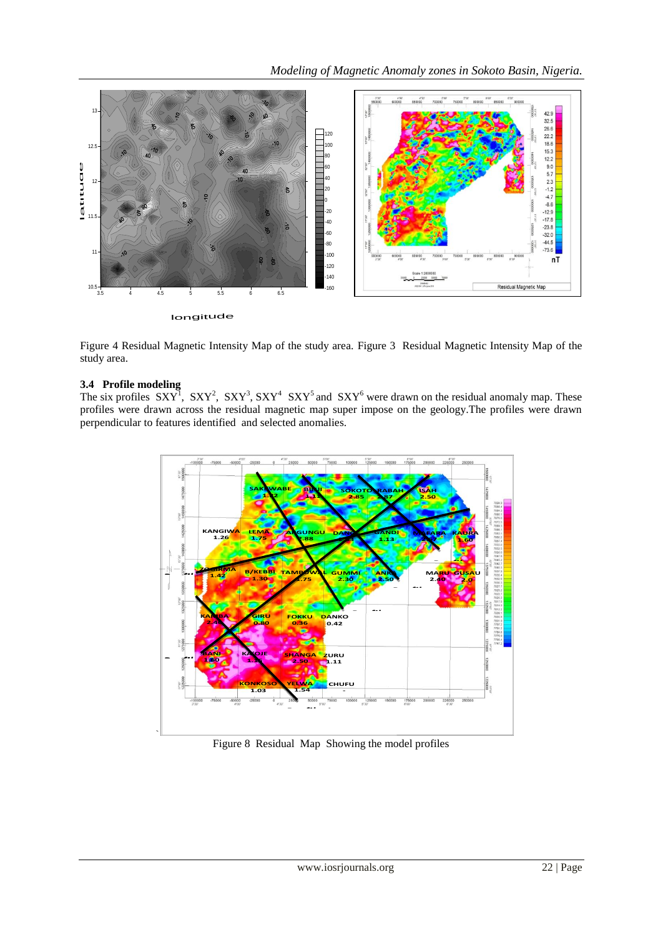

Figure 4 Residual Magnetic Intensity Map of the study area. Figure 3 Residual Magnetic Intensity Map of the study area.

## **3.4 Profile modeling**

The six profiles  $SXY^1$ ,  $SXY^2$ ,  $SXY^3$ ,  $SXY^4$   $SXY^5$  and  $SXY^6$  were drawn on the residual anomaly map. These profiles were drawn across the residual magnetic map super impose on the geology.The profiles were drawn perpendicular to features identified and selected anomalies. .



Figure 8 Residual Map Showing the model profiles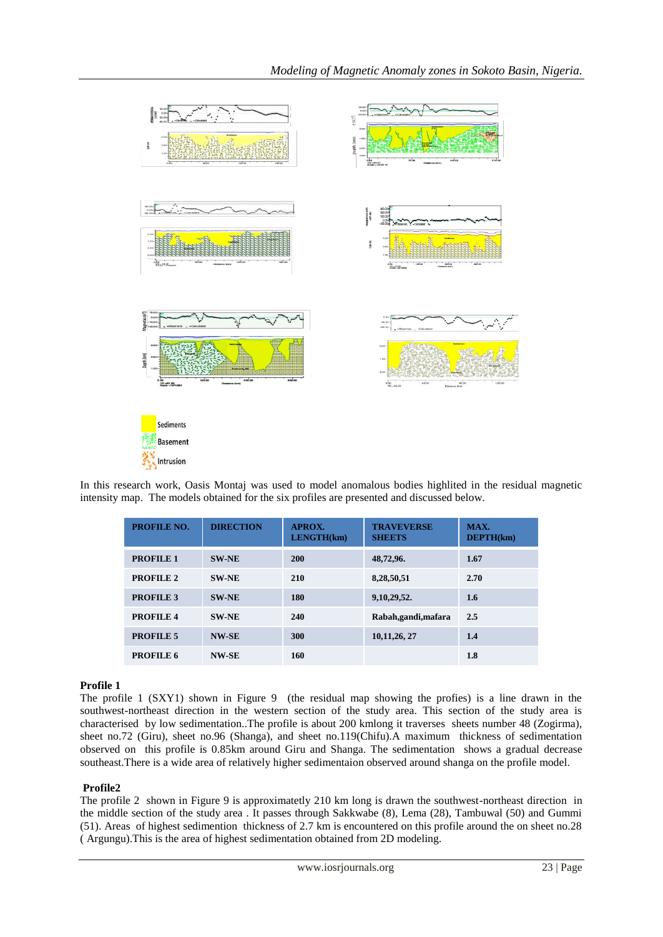

In this research work, Oasis Montaj was used to model anomalous bodies highlited in the residual magnetic intensity map. The models obtained for the six profiles are presented and discussed below.

| <b>PROFILE NO.</b> | <b>DIRECTION</b> | APROX.<br>LENGTH(km) | <b>TRAVEVERSE</b><br><b>SHEETS</b> | MAX.<br>$DEFTH(km)$ |
|--------------------|------------------|----------------------|------------------------------------|---------------------|
| <b>PROFILE 1</b>   | <b>SW-NE</b>     | <b>200</b>           | 48,72,96.                          | 1.67                |
| <b>PROFILE 2</b>   | <b>SW-NE</b>     | 210                  | 8,28,50,51                         | 2.70                |
| <b>PROFILE 3</b>   | <b>SW-NE</b>     | 180                  | 9,10,29,52.                        | 1.6                 |
| <b>PROFILE 4</b>   | <b>SW-NE</b>     | 240                  | Rabah,gandi,mafara                 | 2.5                 |
| <b>PROFILE 5</b>   | <b>NW-SE</b>     | 300                  | 10, 11, 26, 27                     | 1.4                 |
| PROFILE 6          | <b>NW-SE</b>     | 160                  |                                    | 1.8                 |

## **Profile 1**

The profile 1 (SXY1) shown in Figure 9 (the residual map showing the profies) is a line drawn in the southwest-northeast direction in the western section of the study area. This section of the study area is characterised by low sedimentation..The profile is about 200 kmlong it traverses sheets number 48 (Zogirma), sheet no.72 (Giru), sheet no.96 (Shanga), and sheet no.119(Chifu).A maximum thickness of sedimentation observed on this profile is 0.85km around Giru and Shanga. The sedimentation shows a gradual decrease southeast.There is a wide area of relatively higher sedimentaion observed around shanga on the profile model.

## **Profile2**

The profile 2 shown in Figure 9 is approximatetly 210 km long is drawn the southwest-northeast direction in the middle section of the study area . It passes through Sakkwabe (8), Lema (28), Tambuwal (50) and Gummi (51). Areas of highest sedimention thickness of 2.7 km is encountered on this profile around the on sheet no.28 ( Argungu).This is the area of highest sedimentation obtained from 2D modeling.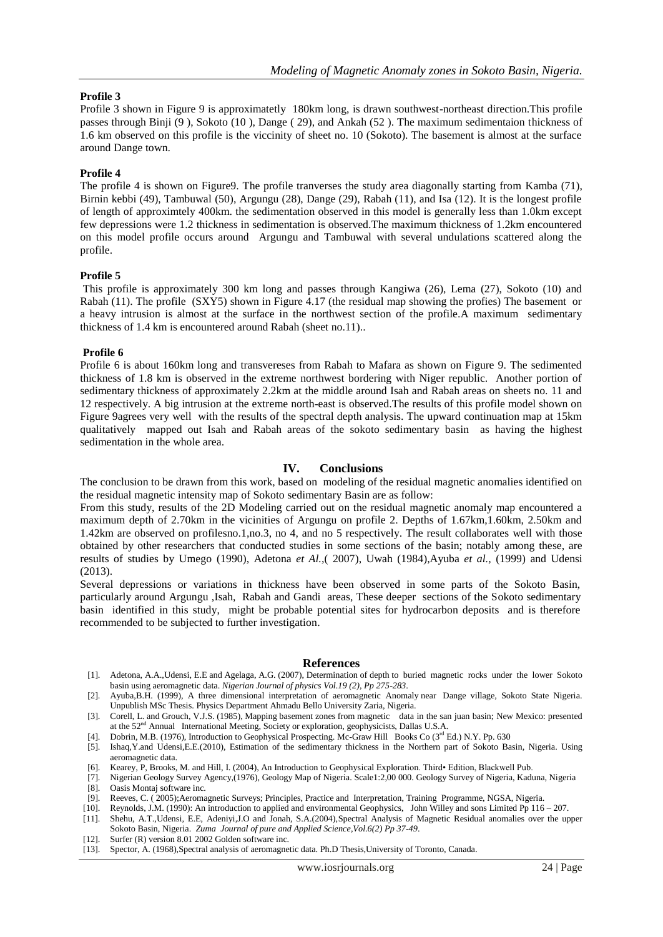#### **Profile 3**

Profile 3 shown in Figure 9 is approximatetly 180km long, is drawn southwest-northeast direction.This profile passes through Binji (9 ), Sokoto (10 ), Dange ( 29), and Ankah (52 ). The maximum sedimentaion thickness of 1.6 km observed on this profile is the viccinity of sheet no. 10 (Sokoto). The basement is almost at the surface around Dange town.

#### **Profile 4**

The profile 4 is shown on Figure9. The profile tranverses the study area diagonally starting from Kamba (71), Birnin kebbi (49), Tambuwal (50), Argungu (28), Dange (29), Rabah (11), and Isa (12). It is the longest profile of length of approximtely 400km. the sedimentation observed in this model is generally less than 1.0km except few depressions were 1.2 thickness in sedimentation is observed.The maximum thickness of 1.2km encountered on this model profile occurs around Argungu and Tambuwal with several undulations scattered along the profile.

#### **Profile 5**

This profile is approximately 300 km long and passes through Kangiwa (26), Lema (27), Sokoto (10) and Rabah (11). The profile (SXY5) shown in Figure 4.17 (the residual map showing the profies) The basement or a heavy intrusion is almost at the surface in the northwest section of the profile.A maximum sedimentary thickness of 1.4 km is encountered around Rabah (sheet no.11)..

#### **Profile 6**

Profile 6 is about 160km long and transvereses from Rabah to Mafara as shown on Figure 9. The sedimented thickness of 1.8 km is observed in the extreme northwest bordering with Niger republic. Another portion of sedimentary thickness of approximately 2.2km at the middle around Isah and Rabah areas on sheets no. 11 and 12 respectively. A big intrusion at the extreme north-east is observed.The results of this profile model shown on Figure 9agrees very well with the results of the spectral depth analysis. The upward continuation map at 15km qualitatively mapped out Isah and Rabah areas of the sokoto sedimentary basin as having the highest sedimentation in the whole area.

#### **IV. Conclusions**

The conclusion to be drawn from this work, based on modeling of the residual magnetic anomalies identified on the residual magnetic intensity map of Sokoto sedimentary Basin are as follow:

From this study, results of the 2D Modeling carried out on the residual magnetic anomaly map encountered a maximum depth of 2.70km in the vicinities of Argungu on profile 2. Depths of 1.67km,1.60km, 2.50km and 1.42km are observed on profilesno.1,no.3, no 4, and no 5 respectively. The result collaborates well with those obtained by other researchers that conducted studies in some sections of the basin; notably among these, are results of studies by Umego (1990), Adetona *et Al.,*( 2007), Uwah (1984),Ayuba *et al.,* (1999) and Udensi (2013).

Several depressions or variations in thickness have been observed in some parts of the Sokoto Basin, particularly around Argungu ,Isah, Rabah and Gandi areas, These deeper sections of the Sokoto sedimentary basin identified in this study, might be probable potential sites for hydrocarbon deposits and is therefore recommended to be subjected to further investigation.

#### **References**

- [1]. Adetona, A.A.,Udensi, E.E and Agelaga, A.G. (2007), Determination of depth to buried magnetic rocks under the lower Sokoto basin using aeromagnetic data. *Nigerian Journal of physics Vol.19 (2), Pp 275-283*.
- [2]. Ayuba,B.H. (1999), A three dimensional interpretation of aeromagnetic Anomaly near Dange village, Sokoto State Nigeria. Unpublish MSc Thesis. Physics Department Ahmadu Bello University Zaria, Nigeria.
- [3]. Corell, L. and Grouch, V.J.S. (1985), Mapping basement zones from magnetic data in the san juan basin; New Mexico: presented at the 52nd Annual International Meeting, Society or exploration, geophysicists, Dallas U.S.A.

[4]. Dobrin, M.B. (1976), Introduction to Geophysical Prospecting. Mc-Graw Hill Books Co (3rd Ed.) N.Y. Pp. 630

- [5]. Ishaq,Y.and Udensi,E.E.(2010), Estimation of the sedimentary thickness in the Northern part of Sokoto Basin, Nigeria. Using aeromagnetic data.
- [6]. Kearey, P, Brooks, M. and Hill, I. (2004), An Introduction to Geophysical Exploration. Third• Edition, Blackwell Pub.
- [7]. Nigerian Geology Survey Agency,(1976), Geology Map of Nigeria. Scale1:2,00 000. Geology Survey of Nigeria, Kaduna, Nigeria
- [8]. Oasis Montai software inc.
- [9]. Reeves, C. ( 2005);Aeromagnetic Surveys; Principles, Practice and Interpretation, Training Programme, NGSA, Nigeria.
- Reynolds, J.M. (1990): An introduction to applied and environmental Geophysics, John Willey and sons Limited Pp 116 207.
- [11]. Shehu, A.T.,Udensi, E.E, Adeniyi,J.O and Jonah, S.A.(2004),Spectral Analysis of Magnetic Residual anomalies over the upper Sokoto Basin, Nigeria. *Zuma Journal of pure and Applied Science,Vol.6(2) Pp 37-49*.
- [12]. Surfer (R) version 8.01 2002 Golden software inc.
- [13]. Spector, A. (1968),Spectral analysis of aeromagnetic data. Ph.D Thesis,University of Toronto, Canada.